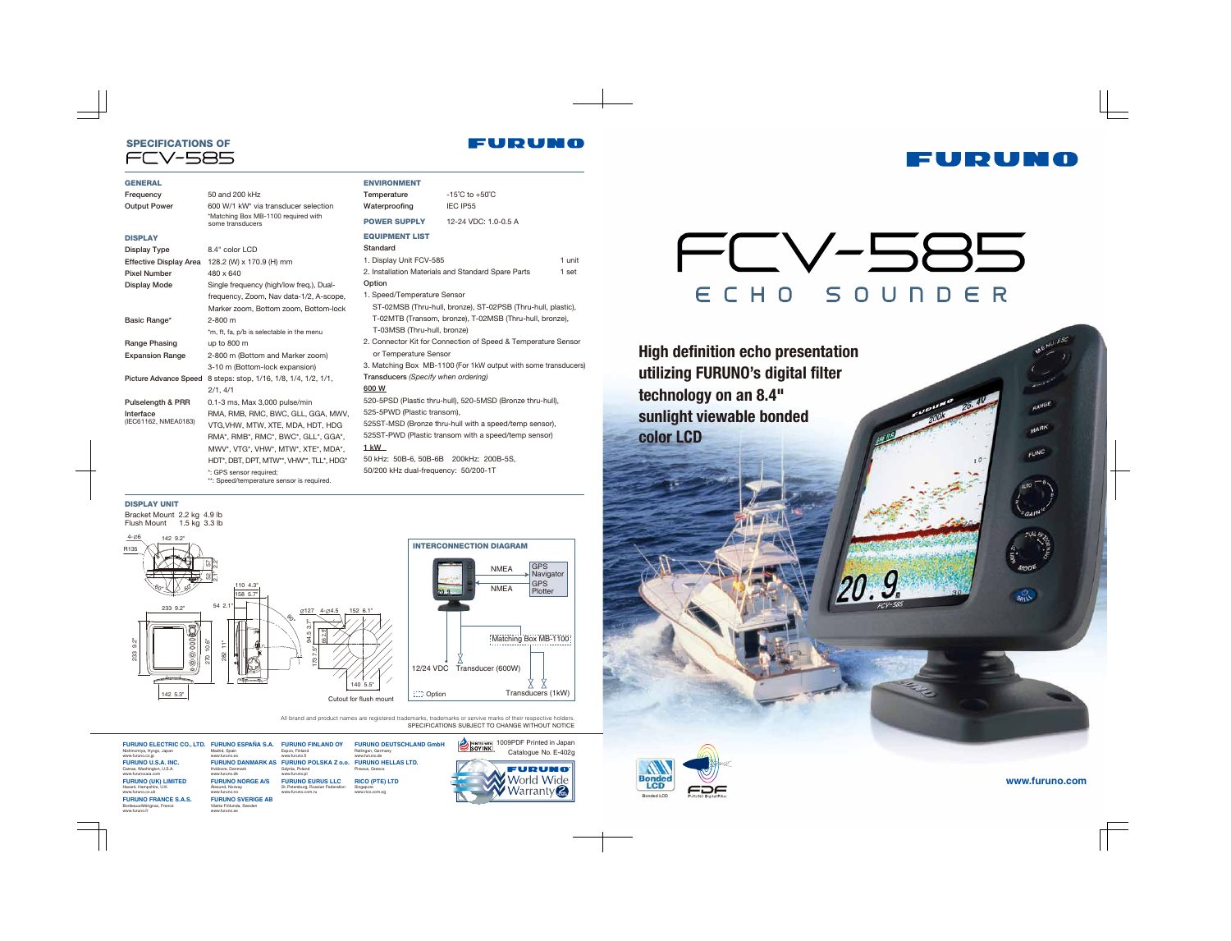# SPECIFICATIONS OF

#### **GENERAL**

Catalogue No. E-402g 1009PDF Printed in Japan

GPS Navigator GPS **Plotter** 

#### DISPLAY UNIT

Bracket Mount 2.2 kg 4.9 lb Flush Mount 1.5 kg 3.3 lb



**utilizing FURUNO's digital filter technology on an 8.4" sunlight viewable bonded**



| Frequency                     | 50 and 200 kHz                                                       | <b>Tempe</b>       |
|-------------------------------|----------------------------------------------------------------------|--------------------|
| <b>Output Power</b>           | 600 W/1 kW* via transducer selection                                 | Water              |
|                               | *Matching Box MB-1100 required with<br>some transducers              | <b>POWE</b>        |
| <b>DISPLAY</b>                |                                                                      | <b>EQUIF</b>       |
| Display Type                  | 8.4" color LCD                                                       | Stand              |
| <b>Effective Display Area</b> | 128.2 (W) x 170.9 (H) mm                                             | 1. Disp            |
| <b>Pixel Number</b>           | 480 x 640                                                            | 2. Insta           |
| <b>Display Mode</b>           | Single frequency (high/low freq.), Dual-                             | Optior             |
|                               | frequency, Zoom, Nav data-1/2, A-scope,                              | 1. Spe             |
|                               | Marker zoom, Bottom zoom, Bottom-lock                                | ST-                |
| Basic Range*                  | $2 - 800$ m                                                          | $T-0$              |
|                               | *m, ft, fa, p/b is selectable in the menu                            | $T-0$              |
| Range Phasing                 | up to $800 \text{ m}$                                                | 2. Con             |
| <b>Expansion Range</b>        | 2-800 m (Bottom and Marker zoom)                                     | or T               |
|                               | 3-10 m (Bottom-lock expansion)                                       | 3. Mat             |
| <b>Picture Advance Speed</b>  | 8 steps: stop, 1/16, 1/8, 1/4, 1/2, 1/1,                             | Transo             |
|                               | 2/1, 4/1                                                             | 600 W              |
| Pulselength & PRR             | 0.1-3 ms, Max 3,000 pulse/min                                        | 520-5 <sub>I</sub> |
| Interface                     | RMA, RMB, RMC, BWC, GLL, GGA, MWV,                                   | $525 - 51$         |
| (IEC61162, NMEA0183)          | VTG, VHW, MTW, XTE, MDA, HDT, HDG                                    | 525ST              |
|                               | RMA*, RMB*, RMC*, BWC*, GLL*, GGA*,                                  | 525ST              |
|                               | MWV*, VTG*, VHW*, MTW*, XTE*, MDA*,                                  | 1 kW               |
|                               | HDT*, DBT, DPT, MTW**, VHW**, TLL*, HDG*                             | 50 kHz             |
|                               | *: GPS sensor required;<br>**: Speed/temperature sensor is required. | 50/200             |

1 kW Hz: 50B-6, 50B-6B 200kHz: 200B-5S, 00 kHz dual-frequency: 50/200-1T

ENVIRONMENT



<sup>P</sup>iraeus, Greec **RICO (PTE) LTD** Singapore www.rico.com.sg

| Temperature                         | $-15^{\circ}$ C to $+50^{\circ}$ C                             |        |
|-------------------------------------|----------------------------------------------------------------|--------|
| Waterproofing                       | IEC IP55                                                       |        |
| <b>POWER SUPPLY</b>                 | 12-24 VDC: 1.0-0.5 A                                           |        |
| <b>EQUIPMENT LIST</b>               |                                                                |        |
| Standard                            |                                                                |        |
| 1. Display Unit FCV-585             |                                                                | 1 unit |
|                                     | 2. Installation Materials and Standard Spare Parts             | 1 set  |
| Option                              |                                                                |        |
| 1. Speed/Temperature Sensor         |                                                                |        |
|                                     | ST-02MSB (Thru-hull, bronze), ST-02PSB (Thru-hull, plastic),   |        |
|                                     | T-02MTB (Transom, bronze), T-02MSB (Thru-hull, bronze),        |        |
| T-03MSB (Thru-hull, bronze)         |                                                                |        |
|                                     | 2. Connector Kit for Connection of Speed & Temperature Sensor  |        |
| or Temperature Sensor               |                                                                |        |
|                                     | 3. Matching Box MB-1100 (For 1kW output with some transducers) |        |
| Transducers (Specify when ordering) |                                                                |        |
| 600 W                               |                                                                |        |
|                                     | 520-5PSD (Plastic thru-hull), 520-5MSD (Bronze thru-hull),     |        |
| 525-5PWD (Plastic transom),         |                                                                |        |
|                                     | 525ST-MSD (Bronze thru-hull with a speed/temp sensor),         |        |
|                                     | 525ST-PWD (Plastic transom with a speed/temp sensor)           |        |

**FURUNO** 

Transducers (1kW)



**www.furuno.com**





**FURUNO ELECTRIC CO., LTD. FURUNO ESPAÑA S.A.** Nishinomiya, Hyogo, Japan www.furuno.co.jp **FURUNO U.S.A. INC.** Camas, Washington, U.S.A. www.furunousa.com **FURUNO (UK) LIMITED** Havant, Hampshire, U.K. www.furuno.co.uk **FURUNO FRANCE S.A.S.** Bordeaux-Mérignac, France www.furuno.fr

Madrid, Spain www.furuno.es

Ålesund, Norway www.furuno.no

SPECIFICATIONS SUBJECT TO CHANGE WITHOUT NOTICE All brand and product names are registered trademarks, trademarks or servive marks of their respective holders.

**FURUNO DANMARK AS FURUNO POLSKA Z o.o. FURUNO HELLAS LTD.** Hvidovre, Denmark www.furuno.dk **FURUNO NORGE A/S FURUNO FINLAND OY** Espoo, Finland www.furuno.fi Gdynia, Poland www.furuno.pl

**FURUNO SVERIGE AB** Västra Frölunda, Sv www.furuno.se

**FURUNO EURUS LLC** St. Petersburg, Russian Federation www.furuno.com.ru **FURUNO DEUTSCHLAND GmbH** Rellingen, Germany www.furuno.de